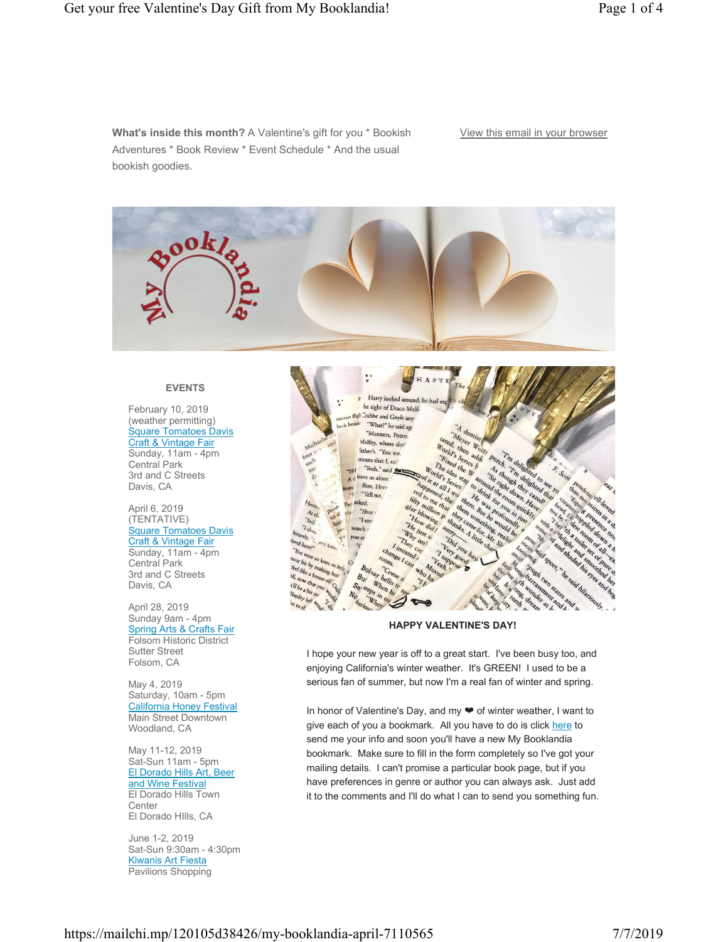**What's inside this month?** A Valentine's gift for you \* Bookish Adventures \* Book Review \* Event Schedule \* And the usual bookish goodies.

## View this email in your browser



#### **EVENTS**

February 10, 2019 (weather permitting) Square Tomatoes Davis Craft & Vintage Fair Sunday, 11am - 4pm Central Park 3rd and C Streets Davis, CA

#### April 6, 2019 (TENTATIVE) Square Tomatoes Davis Craft & Vintage Fair Sunday, 11am - 4pm Central Park 3rd and C Streets Davis, CA

April 28, 2019 Sunday 9am - 4pm **Spring Arts & Crafts Fair** Folsom Historic District Sutter Street Folsom, CA

May 4, 2019 Saturday, 10am - 5pm California Honey Festival Main Street Downtown Woodland, CA

May 11-12, 2019 Sat-Sun 11am - 5pm El Dorado Hills Art, Beer and Wine Festival El Dorado Hills Town **Center** El Dorado HIlls, CA

June 1-2, 2019 Sat-Sun 9:30am - 4:30pm Kiwanis Art Fiesta Pavilions Shopping



#### **HAPPY VALENTINE'S DAY!**

I hope your new year is off to a great start. I've been busy too, and enjoying California's winter weather. It's GREEN! I used to be a serious fan of summer, but now I'm a real fan of winter and spring.

In honor of Valentine's Day, and my ❤ of winter weather, I want to give each of you a bookmark. All you have to do is click here to send me your info and soon you'll have a new My Booklandia bookmark. Make sure to fill in the form completely so I've got your mailing details. I can't promise a particular book page, but if you have preferences in genre or author you can always ask. Just add it to the comments and I'll do what I can to send you something fun.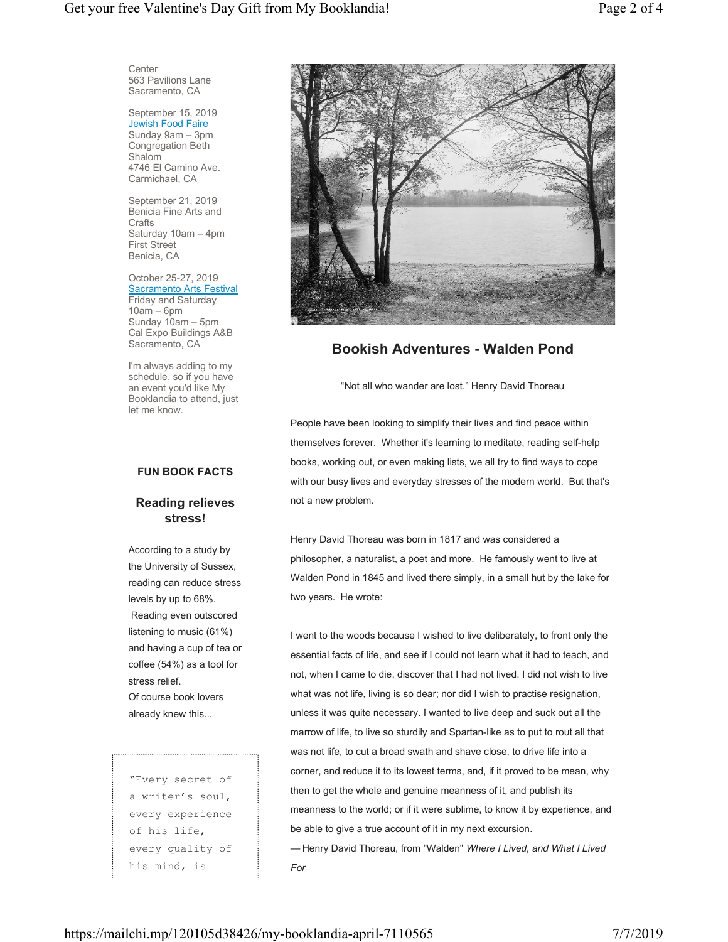**Center** 563 Pavilions Lane Sacramento, CA

September 15, 2019 **Jewish Food Faire** Sunday 9am – 3pm Congregation Beth Shalom 4746 El Camino Ave. Carmichael, CA

September 21, 2019 Benicia Fine Arts and **Crafts** Saturday 10am – 4pm First Street Benicia, CA

October 25-27, 2019 Sacramento Arts Festival Friday and Saturday  $10am - 6pm$ Sunday 10am – 5pm Cal Expo Buildings A&B Sacramento, CA

I'm always adding to my schedule, so if you have an event you'd like My Booklandia to attend, just let me know.

### **FUN BOOK FACTS**

## **Reading relieves stress!**

According to a study by the University of Sussex, reading can reduce stress levels by up to 68%. Reading even outscored listening to music (61%) and having a cup of tea or coffee (54%) as a tool for stress relief. Of course book lovers already knew this...

"Every secret of a writer's soul, every experience of his life, every quality of his mind, is



# **Bookish Adventures - Walden Pond**

"Not all who wander are lost." Henry David Thoreau

People have been looking to simplify their lives and find peace within themselves forever. Whether it's learning to meditate, reading self-help books, working out, or even making lists, we all try to find ways to cope with our busy lives and everyday stresses of the modern world. But that's not a new problem.

Henry David Thoreau was born in 1817 and was considered a philosopher, a naturalist, a poet and more. He famously went to live at Walden Pond in 1845 and lived there simply, in a small hut by the lake for two years. He wrote:

I went to the woods because I wished to live deliberately, to front only the essential facts of life, and see if I could not learn what it had to teach, and not, when I came to die, discover that I had not lived. I did not wish to live what was not life, living is so dear; nor did I wish to practise resignation, unless it was quite necessary. I wanted to live deep and suck out all the marrow of life, to live so sturdily and Spartan-like as to put to rout all that was not life, to cut a broad swath and shave close, to drive life into a corner, and reduce it to its lowest terms, and, if it proved to be mean, why then to get the whole and genuine meanness of it, and publish its meanness to the world; or if it were sublime, to know it by experience, and be able to give a true account of it in my next excursion. — Henry David Thoreau, from "Walden" *Where I Lived, and What I Lived For*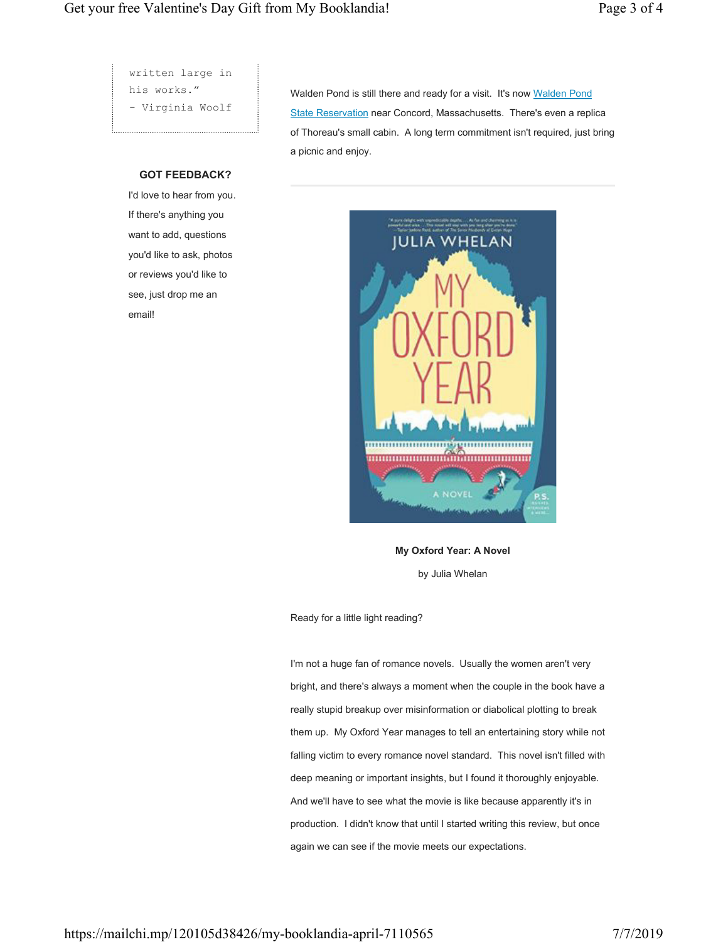written large in his works." - Virginia Woolf

### **GOT FEEDBACK?**

I'd love to hear from you. If there's anything you want to add, questions you'd like to ask, photos or reviews you'd like to see, just drop me an email!

Walden Pond is still there and ready for a visit. It's now Walden Pond State Reservation near Concord, Massachusetts. There's even a replica of Thoreau's small cabin. A long term commitment isn't required, just bring a picnic and enjoy.



**My Oxford Year: A Novel** by Julia Whelan

Ready for a little light reading?

I'm not a huge fan of romance novels. Usually the women aren't very bright, and there's always a moment when the couple in the book have a really stupid breakup over misinformation or diabolical plotting to break them up. My Oxford Year manages to tell an entertaining story while not falling victim to every romance novel standard. This novel isn't filled with deep meaning or important insights, but I found it thoroughly enjoyable. And we'll have to see what the movie is like because apparently it's in production. I didn't know that until I started writing this review, but once again we can see if the movie meets our expectations.